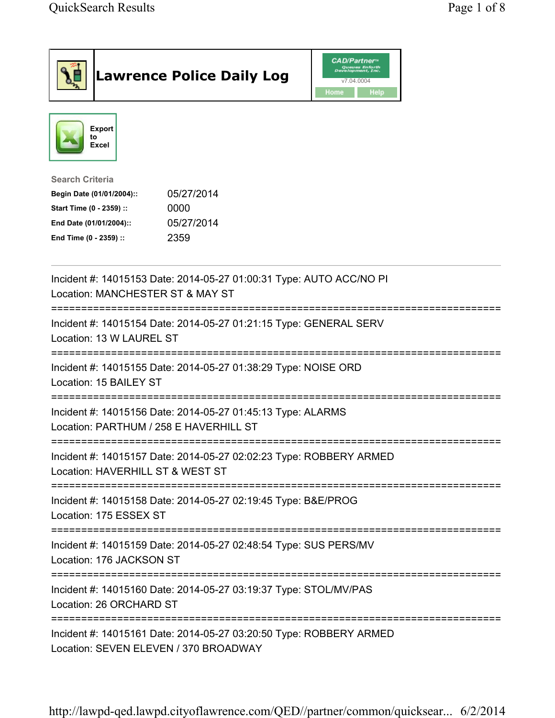| <b>Lawrence Police Daily Log</b>                                                                                                                                                 | <b>CAD/Partner</b> "<br>Queues Enforth<br>Development, Inc.<br>v7.04.0004<br>Home<br>Help |
|----------------------------------------------------------------------------------------------------------------------------------------------------------------------------------|-------------------------------------------------------------------------------------------|
| <b>Export</b><br>to<br><b>Excel</b>                                                                                                                                              |                                                                                           |
| <b>Search Criteria</b><br>05/27/2014<br>Begin Date (01/01/2004)::<br>Start Time (0 - 2359) ::<br>0000<br>05/27/2014<br>End Date (01/01/2004)::<br>2359<br>End Time (0 - 2359) :: |                                                                                           |
| Incident #: 14015153 Date: 2014-05-27 01:00:31 Type: AUTO ACC/NO PI<br>Location: MANCHESTER ST & MAY ST                                                                          |                                                                                           |
| =============================<br>Incident #: 14015154 Date: 2014-05-27 01:21:15 Type: GENERAL SERV<br>Location: 13 W LAUREL ST                                                   |                                                                                           |
| Incident #: 14015155 Date: 2014-05-27 01:38:29 Type: NOISE ORD<br>Location: 15 BAILEY ST                                                                                         |                                                                                           |
| Incident #: 14015156 Date: 2014-05-27 01:45:13 Type: ALARMS<br>Location: PARTHUM / 258 E HAVERHILL ST                                                                            |                                                                                           |
| Incident #: 14015157 Date: 2014-05-27 02:02:23 Type: ROBBERY ARMED<br>Location: HAVERHILL ST & WEST ST                                                                           |                                                                                           |
| Incident #: 14015158 Date: 2014-05-27 02:19:45 Type: B&E/PROG<br>Location: 175 ESSEX ST                                                                                          |                                                                                           |
| Incident #: 14015159 Date: 2014-05-27 02:48:54 Type: SUS PERS/MV<br>Location: 176 JACKSON ST                                                                                     |                                                                                           |
| Incident #: 14015160 Date: 2014-05-27 03:19:37 Type: STOL/MV/PAS<br>Location: 26 ORCHARD ST                                                                                      |                                                                                           |
| Incident #: 14015161 Date: 2014-05-27 03:20:50 Type: ROBBERY ARMED<br>Location: SEVEN ELEVEN / 370 BROADWAY                                                                      |                                                                                           |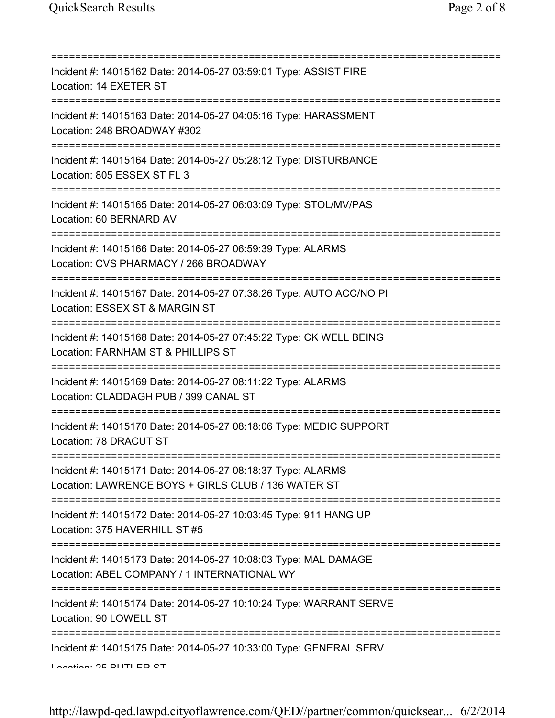| ===========================                                                                                                          |
|--------------------------------------------------------------------------------------------------------------------------------------|
| Incident #: 14015162 Date: 2014-05-27 03:59:01 Type: ASSIST FIRE<br>Location: 14 EXETER ST                                           |
| Incident #: 14015163 Date: 2014-05-27 04:05:16 Type: HARASSMENT<br>Location: 248 BROADWAY #302                                       |
| Incident #: 14015164 Date: 2014-05-27 05:28:12 Type: DISTURBANCE<br>Location: 805 ESSEX ST FL 3                                      |
| Incident #: 14015165 Date: 2014-05-27 06:03:09 Type: STOL/MV/PAS<br>Location: 60 BERNARD AV                                          |
| Incident #: 14015166 Date: 2014-05-27 06:59:39 Type: ALARMS<br>Location: CVS PHARMACY / 266 BROADWAY                                 |
| Incident #: 14015167 Date: 2014-05-27 07:38:26 Type: AUTO ACC/NO PI<br>Location: ESSEX ST & MARGIN ST                                |
| Incident #: 14015168 Date: 2014-05-27 07:45:22 Type: CK WELL BEING<br>Location: FARNHAM ST & PHILLIPS ST<br>======================== |
| Incident #: 14015169 Date: 2014-05-27 08:11:22 Type: ALARMS<br>Location: CLADDAGH PUB / 399 CANAL ST                                 |
| Incident #: 14015170 Date: 2014-05-27 08:18:06 Type: MEDIC SUPPORT<br>Location: 78 DRACUT ST                                         |
| Incident #: 14015171 Date: 2014-05-27 08:18:37 Type: ALARMS<br>Location: LAWRENCE BOYS + GIRLS CLUB / 136 WATER ST                   |
| Incident #: 14015172 Date: 2014-05-27 10:03:45 Type: 911 HANG UP<br>Location: 375 HAVERHILL ST #5                                    |
| Incident #: 14015173 Date: 2014-05-27 10:08:03 Type: MAL DAMAGE<br>Location: ABEL COMPANY / 1 INTERNATIONAL WY                       |
| Incident #: 14015174 Date: 2014-05-27 10:10:24 Type: WARRANT SERVE<br>Location: 90 LOWELL ST                                         |
| Incident #: 14015175 Date: 2014-05-27 10:33:00 Type: GENERAL SERV<br>Lootion: 35 DUTLED CT                                           |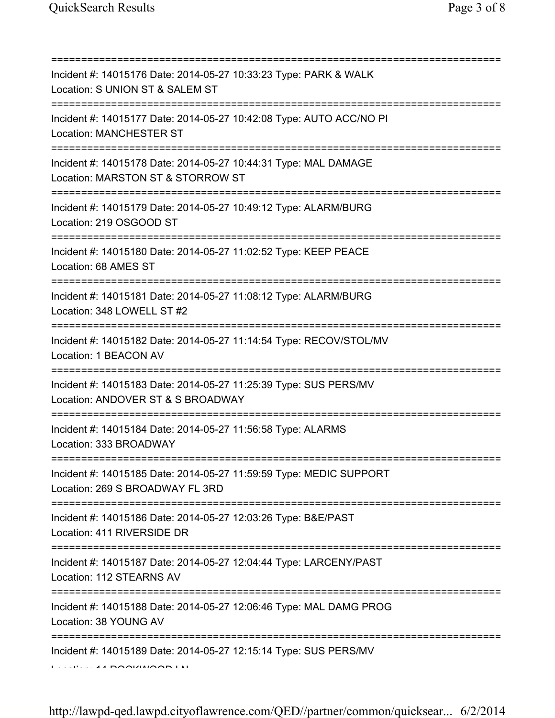| Incident #: 14015176 Date: 2014-05-27 10:33:23 Type: PARK & WALK<br>Location: S UNION ST & SALEM ST                                            |
|------------------------------------------------------------------------------------------------------------------------------------------------|
| Incident #: 14015177 Date: 2014-05-27 10:42:08 Type: AUTO ACC/NO PI<br><b>Location: MANCHESTER ST</b>                                          |
| Incident #: 14015178 Date: 2014-05-27 10:44:31 Type: MAL DAMAGE<br>Location: MARSTON ST & STORROW ST                                           |
| ==============================<br>Incident #: 14015179 Date: 2014-05-27 10:49:12 Type: ALARM/BURG<br>Location: 219 OSGOOD ST                   |
| ;==========================<br>Incident #: 14015180 Date: 2014-05-27 11:02:52 Type: KEEP PEACE<br>Location: 68 AMES ST                         |
| Incident #: 14015181 Date: 2014-05-27 11:08:12 Type: ALARM/BURG<br>Location: 348 LOWELL ST #2                                                  |
| Incident #: 14015182 Date: 2014-05-27 11:14:54 Type: RECOV/STOL/MV<br>Location: 1 BEACON AV                                                    |
| Incident #: 14015183 Date: 2014-05-27 11:25:39 Type: SUS PERS/MV<br>Location: ANDOVER ST & S BROADWAY                                          |
| Incident #: 14015184 Date: 2014-05-27 11:56:58 Type: ALARMS<br>Location: 333 BROADWAY                                                          |
| Incident #: 14015185 Date: 2014-05-27 11:59:59 Type: MEDIC SUPPORT<br>Location: 269 S BROADWAY FL 3RD                                          |
| =================<br>--------------------------<br>Incident #: 14015186 Date: 2014-05-27 12:03:26 Type: B&E/PAST<br>Location: 411 RIVERSIDE DR |
| Incident #: 14015187 Date: 2014-05-27 12:04:44 Type: LARCENY/PAST<br>Location: 112 STEARNS AV                                                  |
| Incident #: 14015188 Date: 2014-05-27 12:06:46 Type: MAL DAMG PROG<br>Location: 38 YOUNG AV                                                    |
| ==================================<br>Incident #: 14015189 Date: 2014-05-27 12:15:14 Type: SUS PERS/MV<br><b>ALDOOLAHOODIN</b>                 |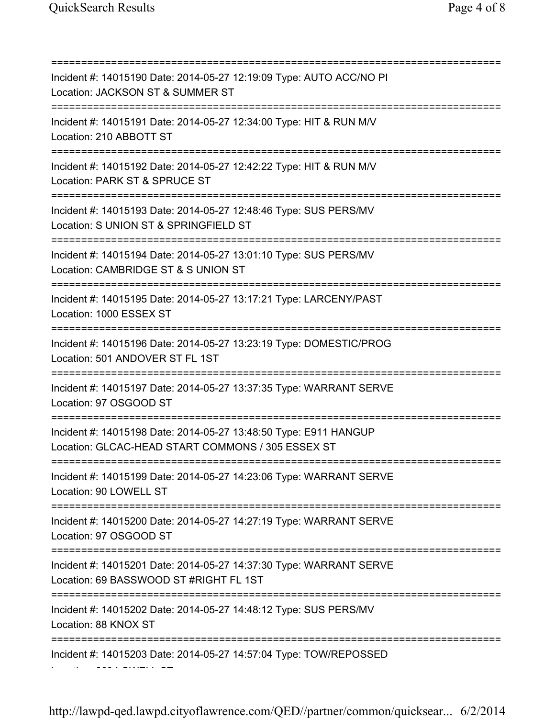Location: 669 LOWELL ST

=========================================================================== Incident #: 14015190 Date: 2014-05-27 12:19:09 Type: AUTO ACC/NO PI Location: JACKSON ST & SUMMER ST =========================================================================== Incident #: 14015191 Date: 2014-05-27 12:34:00 Type: HIT & RUN M/V Location: 210 ABBOTT ST =========================================================================== Incident #: 14015192 Date: 2014-05-27 12:42:22 Type: HIT & RUN M/V Location: PARK ST & SPRUCE ST =========================================================================== Incident #: 14015193 Date: 2014-05-27 12:48:46 Type: SUS PERS/MV Location: S UNION ST & SPRINGFIELD ST =========================================================================== Incident #: 14015194 Date: 2014-05-27 13:01:10 Type: SUS PERS/MV Location: CAMBRIDGE ST & S UNION ST =========================================================================== Incident #: 14015195 Date: 2014-05-27 13:17:21 Type: LARCENY/PAST Location: 1000 ESSEX ST =========================================================================== Incident #: 14015196 Date: 2014-05-27 13:23:19 Type: DOMESTIC/PROG Location: 501 ANDOVER ST FL 1ST =========================================================================== Incident #: 14015197 Date: 2014-05-27 13:37:35 Type: WARRANT SERVE Location: 97 OSGOOD ST =========================================================================== Incident #: 14015198 Date: 2014-05-27 13:48:50 Type: E911 HANGUP Location: GLCAC-HEAD START COMMONS / 305 ESSEX ST =========================================================================== Incident #: 14015199 Date: 2014-05-27 14:23:06 Type: WARRANT SERVE Location: 90 LOWELL ST =========================================================================== Incident #: 14015200 Date: 2014-05-27 14:27:19 Type: WARRANT SERVE Location: 97 OSGOOD ST =========================================================================== Incident #: 14015201 Date: 2014-05-27 14:37:30 Type: WARRANT SERVE Location: 69 BASSWOOD ST #RIGHT FL 1ST =========================================================================== Incident #: 14015202 Date: 2014-05-27 14:48:12 Type: SUS PERS/MV Location: 88 KNOX ST =========================================================================== Incident #: 14015203 Date: 2014-05-27 14:57:04 Type: TOW/REPOSSED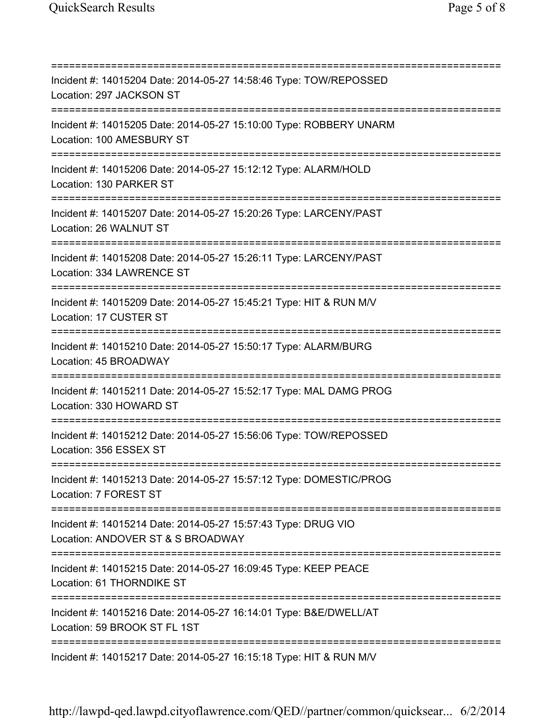=========================================================================== Incident #: 14015204 Date: 2014-05-27 14:58:46 Type: TOW/REPOSSED Location: 297 JACKSON ST =========================================================================== Incident #: 14015205 Date: 2014-05-27 15:10:00 Type: ROBBERY UNARM Location: 100 AMESBURY ST =========================================================================== Incident #: 14015206 Date: 2014-05-27 15:12:12 Type: ALARM/HOLD Location: 130 PARKER ST =========================================================================== Incident #: 14015207 Date: 2014-05-27 15:20:26 Type: LARCENY/PAST Location: 26 WALNUT ST =========================================================================== Incident #: 14015208 Date: 2014-05-27 15:26:11 Type: LARCENY/PAST Location: 334 LAWRENCE ST =========================================================================== Incident #: 14015209 Date: 2014-05-27 15:45:21 Type: HIT & RUN M/V Location: 17 CUSTER ST =========================================================================== Incident #: 14015210 Date: 2014-05-27 15:50:17 Type: ALARM/BURG Location: 45 BROADWAY =========================================================================== Incident #: 14015211 Date: 2014-05-27 15:52:17 Type: MAL DAMG PROG Location: 330 HOWARD ST =========================================================================== Incident #: 14015212 Date: 2014-05-27 15:56:06 Type: TOW/REPOSSED Location: 356 ESSEX ST =========================================================================== Incident #: 14015213 Date: 2014-05-27 15:57:12 Type: DOMESTIC/PROG Location: 7 FOREST ST =========================================================================== Incident #: 14015214 Date: 2014-05-27 15:57:43 Type: DRUG VIO Location: ANDOVER ST & S BROADWAY =========================================================================== Incident #: 14015215 Date: 2014-05-27 16:09:45 Type: KEEP PEACE Location: 61 THORNDIKE ST =========================================================================== Incident #: 14015216 Date: 2014-05-27 16:14:01 Type: B&E/DWELL/AT Location: 59 BROOK ST FL 1ST =========================================================================== Incident #: 14015217 Date: 2014-05-27 16:15:18 Type: HIT & RUN M/V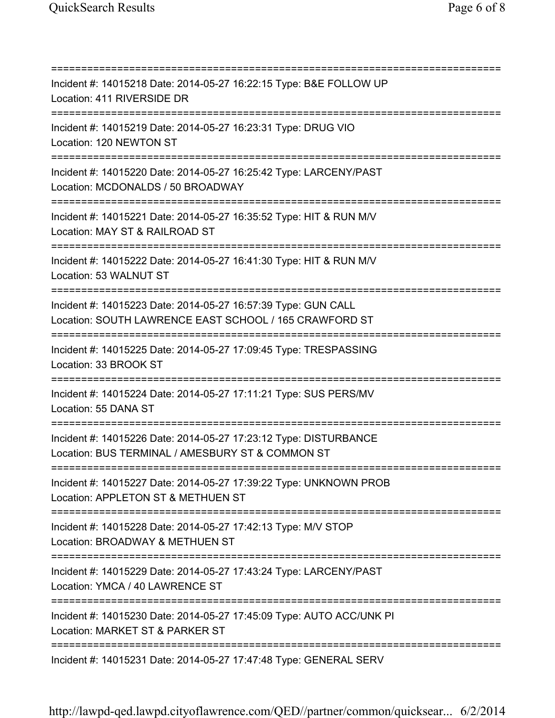=========================================================================== Incident #: 14015218 Date: 2014-05-27 16:22:15 Type: B&E FOLLOW UP Location: 411 RIVERSIDE DR =========================================================================== Incident #: 14015219 Date: 2014-05-27 16:23:31 Type: DRUG VIO Location: 120 NEWTON ST =========================================================================== Incident #: 14015220 Date: 2014-05-27 16:25:42 Type: LARCENY/PAST Location: MCDONALDS / 50 BROADWAY =========================================================================== Incident #: 14015221 Date: 2014-05-27 16:35:52 Type: HIT & RUN M/V Location: MAY ST & RAILROAD ST =========================================================================== Incident #: 14015222 Date: 2014-05-27 16:41:30 Type: HIT & RUN M/V Location: 53 WALNUT ST =========================================================================== Incident #: 14015223 Date: 2014-05-27 16:57:39 Type: GUN CALL Location: SOUTH LAWRENCE EAST SCHOOL / 165 CRAWFORD ST =========================================================================== Incident #: 14015225 Date: 2014-05-27 17:09:45 Type: TRESPASSING Location: 33 BROOK ST =========================================================================== Incident #: 14015224 Date: 2014-05-27 17:11:21 Type: SUS PERS/MV Location: 55 DANA ST =========================================================================== Incident #: 14015226 Date: 2014-05-27 17:23:12 Type: DISTURBANCE Location: BUS TERMINAL / AMESBURY ST & COMMON ST =========================================================================== Incident #: 14015227 Date: 2014-05-27 17:39:22 Type: UNKNOWN PROB Location: APPLETON ST & METHUEN ST =========================================================================== Incident #: 14015228 Date: 2014-05-27 17:42:13 Type: M/V STOP Location: BROADWAY & METHUEN ST =========================================================================== Incident #: 14015229 Date: 2014-05-27 17:43:24 Type: LARCENY/PAST Location: YMCA / 40 LAWRENCE ST =========================================================================== Incident #: 14015230 Date: 2014-05-27 17:45:09 Type: AUTO ACC/UNK PI Location: MARKET ST & PARKER ST =========================================================================== Incident #: 14015231 Date: 2014-05-27 17:47:48 Type: GENERAL SERV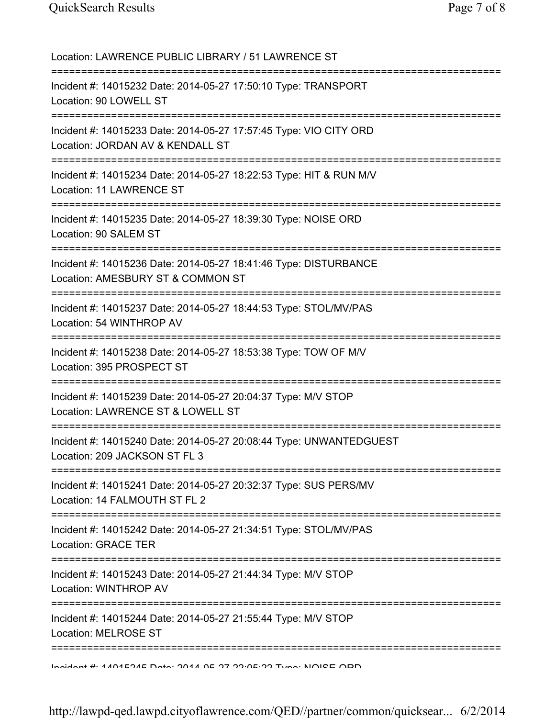| Location: LAWRENCE PUBLIC LIBRARY / 51 LAWRENCE ST                                                                                 |
|------------------------------------------------------------------------------------------------------------------------------------|
| Incident #: 14015232 Date: 2014-05-27 17:50:10 Type: TRANSPORT<br>Location: 90 LOWELL ST                                           |
| Incident #: 14015233 Date: 2014-05-27 17:57:45 Type: VIO CITY ORD<br>Location: JORDAN AV & KENDALL ST<br>========================= |
| Incident #: 14015234 Date: 2014-05-27 18:22:53 Type: HIT & RUN M/V<br>Location: 11 LAWRENCE ST                                     |
| Incident #: 14015235 Date: 2014-05-27 18:39:30 Type: NOISE ORD<br>Location: 90 SALEM ST<br>================================        |
| Incident #: 14015236 Date: 2014-05-27 18:41:46 Type: DISTURBANCE<br>Location: AMESBURY ST & COMMON ST                              |
| Incident #: 14015237 Date: 2014-05-27 18:44:53 Type: STOL/MV/PAS<br>Location: 54 WINTHROP AV                                       |
| Incident #: 14015238 Date: 2014-05-27 18:53:38 Type: TOW OF M/V<br>Location: 395 PROSPECT ST                                       |
| Incident #: 14015239 Date: 2014-05-27 20:04:37 Type: M/V STOP<br>Location: LAWRENCE ST & LOWELL ST                                 |
| Incident #: 14015240 Date: 2014-05-27 20:08:44 Type: UNWANTEDGUEST<br>Location: 209 JACKSON ST FL 3                                |
| Incident #: 14015241 Date: 2014-05-27 20:32:37 Type: SUS PERS/MV<br>Location: 14 FALMOUTH ST FL 2                                  |
| Incident #: 14015242 Date: 2014-05-27 21:34:51 Type: STOL/MV/PAS<br><b>Location: GRACE TER</b>                                     |
| Incident #: 14015243 Date: 2014-05-27 21:44:34 Type: M/V STOP<br>Location: WINTHROP AV                                             |
| Incident #: 14015244 Date: 2014-05-27 21:55:44 Type: M/V STOP<br>Location: MELROSE ST                                              |
| Incident # 4404E94E Deta: 9044 AE 97 99.0E.99 Tune: NOIDE ADD                                                                      |